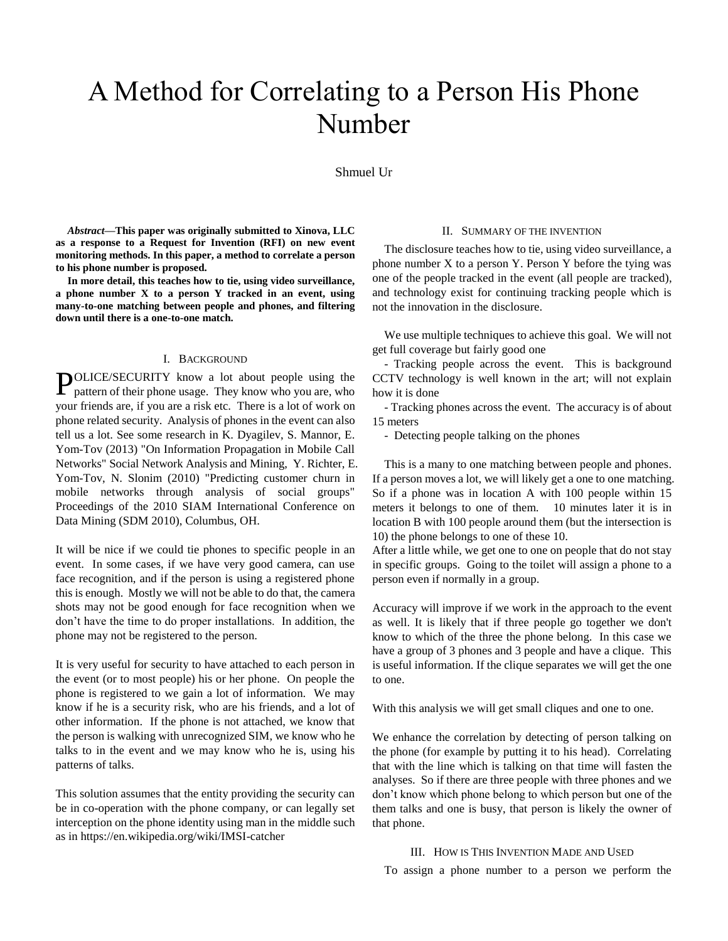# A Method for Correlating to a Person His Phone Number

Shmuel Ur

*Abstract***—This paper was originally submitted to Xinova, LLC as a response to a Request for Invention (RFI) on new event monitoring methods. In this paper, a method to correlate a person to his phone number is proposed.** 

**In more detail, this teaches how to tie, using video surveillance, a phone number X to a person Y tracked in an event, using many-to-one matching between people and phones, and filtering down until there is a one-to-one match.** 

## I. BACKGROUND

POLICE/SECURITY know a lot about people using the pattern of their phone usage. They know who you are, who pattern of their phone usage. They know who you are, who your friends are, if you are a risk etc. There is a lot of work on phone related security. Analysis of phones in the event can also tell us a lot. See some research in K. Dyagilev, S. Mannor, E. Yom-Tov (2013) "On Information Propagation in Mobile Call Networks" Social Network Analysis and Mining, Y. Richter, E. Yom-Tov, N. Slonim (2010) "Predicting customer churn in mobile networks through analysis of social groups" Proceedings of the 2010 SIAM International Conference on Data Mining (SDM 2010), Columbus, OH.

It will be nice if we could tie phones to specific people in an event. In some cases, if we have very good camera, can use face recognition, and if the person is using a registered phone this is enough. Mostly we will not be able to do that, the camera shots may not be good enough for face recognition when we don't have the time to do proper installations. In addition, the phone may not be registered to the person.

It is very useful for security to have attached to each person in the event (or to most people) his or her phone. On people the phone is registered to we gain a lot of information. We may know if he is a security risk, who are his friends, and a lot of other information. If the phone is not attached, we know that the person is walking with unrecognized SIM, we know who he talks to in the event and we may know who he is, using his patterns of talks.

This solution assumes that the entity providing the security can be in co-operation with the phone company, or can legally set interception on the phone identity using man in the middle such as in https://en.wikipedia.org/wiki/IMSI-catcher

## II. SUMMARY OF THE INVENTION

The disclosure teaches how to tie, using video surveillance, a phone number X to a person Y. Person Y before the tying was one of the people tracked in the event (all people are tracked), and technology exist for continuing tracking people which is not the innovation in the disclosure.

We use multiple techniques to achieve this goal. We will not get full coverage but fairly good one

- Tracking people across the event. This is background CCTV technology is well known in the art; will not explain how it is done

- Tracking phones across the event. The accuracy is of about 15 meters

- Detecting people talking on the phones

This is a many to one matching between people and phones. If a person moves a lot, we will likely get a one to one matching. So if a phone was in location A with 100 people within 15 meters it belongs to one of them. 10 minutes later it is in location B with 100 people around them (but the intersection is 10) the phone belongs to one of these 10.

After a little while, we get one to one on people that do not stay in specific groups. Going to the toilet will assign a phone to a person even if normally in a group.

Accuracy will improve if we work in the approach to the event as well. It is likely that if three people go together we don't know to which of the three the phone belong. In this case we have a group of 3 phones and 3 people and have a clique. This is useful information. If the clique separates we will get the one to one.

With this analysis we will get small cliques and one to one.

We enhance the correlation by detecting of person talking on the phone (for example by putting it to his head). Correlating that with the line which is talking on that time will fasten the analyses. So if there are three people with three phones and we don't know which phone belong to which person but one of the them talks and one is busy, that person is likely the owner of that phone.

#### III. HOW IS THIS INVENTION MADE AND USED

To assign a phone number to a person we perform the